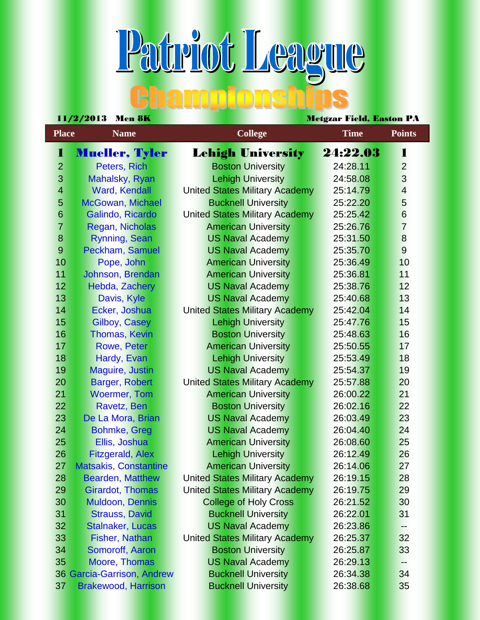## Patriot League **Bhampionshi**

| 11/272010<br>Meil on<br>Nicigzar Fielu, Dasion FA |                              |                                       |                                       |             |                |  |
|---------------------------------------------------|------------------------------|---------------------------------------|---------------------------------------|-------------|----------------|--|
| <b>Place</b><br><b>Name</b>                       |                              |                                       | <b>College</b>                        | <b>Time</b> | <b>Points</b>  |  |
| 1                                                 | <b>Mueller, Tyler</b>        |                                       | <b>Lehigh University</b>              | 24:22.03    | 1              |  |
| $\overline{2}$                                    | Peters, Rich                 |                                       | <b>Boston University</b>              | 24:28.11    | $\overline{2}$ |  |
| 3                                                 | Mahalsky, Ryan               |                                       | <b>Lehigh University</b>              | 24:58.08    | $\overline{3}$ |  |
| $\overline{\mathbf{4}}$                           | <b>Ward, Kendall</b>         |                                       | <b>United States Military Academy</b> | 25:14.79    | $\overline{4}$ |  |
| 5                                                 | <b>McGowan, Michael</b>      |                                       | <b>Bucknell University</b>            | 25:22.20    | 5              |  |
| $6\phantom{1}$                                    | Galindo, Ricardo             |                                       | <b>United States Military Academy</b> | 25:25.42    | $6\phantom{a}$ |  |
| $\overline{7}$                                    | Regan, Nicholas              | <b>American University</b>            |                                       | 25:26.76    | $\overline{7}$ |  |
| 8                                                 | <b>Rynning, Sean</b>         |                                       | <b>US Naval Academy</b>               | 25:31.50    | $\bf 8$        |  |
| $\overline{9}$                                    | Peckham, Samuel              |                                       | <b>US Naval Academy</b>               | 25:35.70    | 9              |  |
| 10                                                | Pope, John                   |                                       | <b>American University</b>            | 25:36.49    | 10             |  |
| 11                                                | Johnson, Brendan             |                                       | <b>American University</b>            | 25:36.81    | 11             |  |
| 12                                                | Hebda, Zachery               |                                       | <b>US Naval Academy</b>               | 25:38.76    | 12             |  |
| 13                                                | Davis, Kyle                  |                                       | <b>US Naval Academy</b>               | 25:40.68    | 13             |  |
| 14                                                | Ecker, Joshua                |                                       | <b>United States Military Academy</b> | 25:42.04    | 14             |  |
| 15                                                | Gilboy, Casey                |                                       | <b>Lehigh University</b>              | 25:47.76    | 15             |  |
| 16                                                | <b>Thomas, Kevin</b>         |                                       | <b>Boston University</b>              | 25:48.63    | 16             |  |
| 17                                                | Rowe, Peter                  |                                       | <b>American University</b>            | 25:50.55    | 17             |  |
| 18                                                | Hardy, Evan                  |                                       | <b>Lehigh University</b>              | 25:53.49    | 18             |  |
| 19                                                | Maguire, Justin              |                                       | <b>US Naval Academy</b>               | 25:54.37    | 19             |  |
| 20                                                | Barger, Robert               |                                       | United States Military Academy        | 25:57.88    | 20             |  |
| 21                                                | <b>Woermer, Tom</b>          |                                       | <b>American University</b>            | 26:00.22    | 21             |  |
| 22                                                | Ravetz, Ben                  |                                       | <b>Boston University</b>              | 26:02.16    | 22             |  |
| 23                                                | De La Mora, Brian            |                                       | <b>US Naval Academy</b>               | 26:03.49    | 23             |  |
| 24                                                | <b>Bohmke, Greg</b>          |                                       | <b>US Naval Academy</b>               | 26:04.40    | 24             |  |
| 25                                                | Ellis, Joshua                |                                       | <b>American University</b>            | 26:08.60    | 25             |  |
| 26                                                | <b>Fitzgerald, Alex</b>      |                                       | <b>Lehigh University</b>              | 26:12.49    | 26             |  |
| 27                                                | <b>Matsakis, Constantine</b> |                                       | <b>American University</b>            | 26:14.06    | 27             |  |
| 28                                                | <b>Bearden, Matthew</b>      | <b>United States Military Academy</b> |                                       | 26:19.15    | 28             |  |
| 29                                                | <b>Girardot, Thomas</b>      | <b>United States Military Academy</b> |                                       | 26:19.75    | 29             |  |
| 30                                                | <b>Muldoon, Dennis</b>       | <b>College of Holy Cross</b>          |                                       | 26:21.52    | 30             |  |
| 31                                                | <b>Strauss, David</b>        |                                       | <b>Bucknell University</b>            | 26:22.01    | 31             |  |
| 32                                                | <b>Stalnaker, Lucas</b>      |                                       | <b>US Naval Academy</b>               | 26:23.86    | --             |  |
| 33                                                | <b>Fisher, Nathan</b>        | <b>United States Military Academy</b> |                                       | 26:25.37    | 32             |  |
| 34                                                | Somoroff, Aaron              | <b>Boston University</b>              |                                       | 26:25.87    | 33             |  |
| 35                                                | Moore, Thomas                |                                       | <b>US Naval Academy</b>               | 26:29.13    | --             |  |
|                                                   | 36 Garcia-Garrison, Andrew   |                                       | <b>Bucknell University</b>            | 26:34.38    | 34             |  |
| 37                                                | <b>Brakewood, Harrison</b>   |                                       | <b>Bucknell University</b>            | 26:38.68    | 35             |  |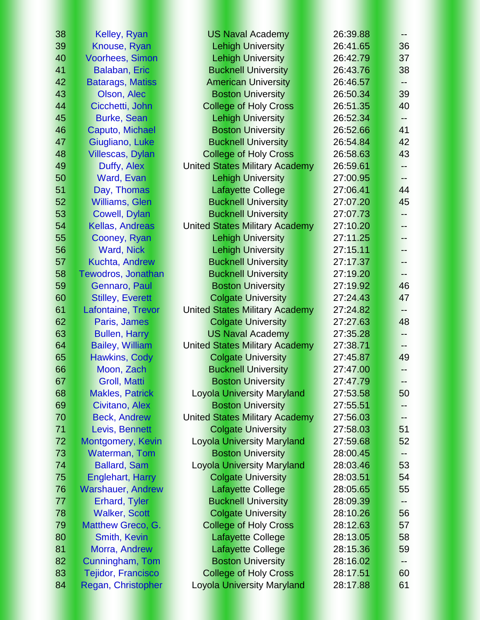| 38 | Kelley, Ryan              | <b>US Naval Academy</b>               | 26:39.88 | $--$ |
|----|---------------------------|---------------------------------------|----------|------|
| 39 | Knouse, Ryan              | <b>Lehigh University</b>              | 26:41.65 | 36   |
| 40 | <b>Voorhees, Simon</b>    | <b>Lehigh University</b>              | 26:42.79 | 37   |
| 41 | <b>Balaban, Eric</b>      | <b>Bucknell University</b>            | 26:43.76 | 38   |
| 42 | <b>Batarags, Matiss</b>   | <b>American University</b>            | 26:46.57 | --   |
| 43 | Olson, Alec               | <b>Boston University</b>              | 26:50.34 | 39   |
| 44 | Cicchetti, John           | <b>College of Holy Cross</b>          | 26:51.35 | 40   |
| 45 | <b>Burke, Sean</b>        | <b>Lehigh University</b>              | 26:52.34 | --   |
| 46 | Caputo, Michael           | <b>Boston University</b>              | 26:52.66 | 41   |
| 47 | Giugliano, Luke           | <b>Bucknell University</b>            | 26:54.84 | 42   |
| 48 | <b>Villescas, Dylan</b>   | <b>College of Holy Cross</b>          | 26:58.63 | 43   |
| 49 | Duffy, Alex               | <b>United States Military Academy</b> | 26:59.61 | --   |
| 50 | Ward, Evan                | <b>Lehigh University</b>              | 27:00.95 | --   |
| 51 | Day, Thomas               | <b>Lafayette College</b>              | 27:06.41 | 44   |
| 52 | <b>Williams, Glen</b>     | <b>Bucknell University</b>            | 27:07.20 | 45   |
| 53 | Cowell, Dylan             | <b>Bucknell University</b>            | 27:07.73 | --   |
| 54 | Kellas, Andreas           | <b>United States Military Academy</b> | 27:10.20 | --   |
| 55 | Cooney, Ryan              | <b>Lehigh University</b>              | 27:11.25 | --   |
| 56 | <b>Ward, Nick</b>         | <b>Lehigh University</b>              | 27:15.11 | --   |
| 57 | <b>Kuchta, Andrew</b>     | <b>Bucknell University</b>            | 27:17.37 | н.   |
| 58 | Tewodros, Jonathan        | <b>Bucknell University</b>            | 27:19.20 | --   |
| 59 | <b>Gennaro, Paul</b>      | <b>Boston University</b>              | 27:19.92 | 46   |
| 60 | <b>Stilley, Everett</b>   | <b>Colgate University</b>             | 27:24.43 | 47   |
| 61 | Lafontaine, Trevor        | <b>United States Military Academy</b> | 27:24.82 | --   |
| 62 | Paris, James              | <b>Colgate University</b>             | 27:27.63 | 48   |
| 63 | <b>Bullen, Harry</b>      | <b>US Naval Academy</b>               | 27:35.28 | --   |
| 64 | <b>Bailey, William</b>    | <b>United States Military Academy</b> | 27:38.71 | --   |
| 65 | <b>Hawkins, Cody</b>      | <b>Colgate University</b>             | 27:45.87 | 49   |
| 66 | Moon, Zach                | <b>Bucknell University</b>            | 27:47.00 | --   |
| 67 | <b>Groll, Matti</b>       | <b>Boston University</b>              | 27:47.79 | --   |
| 68 | <b>Makles, Patrick</b>    | <b>Loyola University Maryland</b>     | 27:53.58 | 50   |
| 69 | Civitano, Alex            | <b>Boston University</b>              | 27:55.51 |      |
| 70 | <b>Beck, Andrew</b>       | <b>United States Military Academy</b> | 27:56.03 | --   |
| 71 | Levis, Bennett            | <b>Colgate University</b>             | 27:58.03 | 51   |
| 72 | Montgomery, Kevin         | <b>Loyola University Maryland</b>     | 27:59.68 | 52   |
| 73 | <b>Waterman, Tom</b>      | <b>Boston University</b>              | 28:00.45 | --   |
| 74 | <b>Ballard, Sam</b>       | <b>Loyola University Maryland</b>     | 28:03.46 | 53   |
| 75 | <b>Englehart, Harry</b>   | <b>Colgate University</b>             | 28:03.51 | 54   |
| 76 | <b>Warshauer, Andrew</b>  | <b>Lafayette College</b>              | 28:05.65 | 55   |
| 77 | <b>Erhard, Tyler</b>      | <b>Bucknell University</b>            | 28:09.39 | ۰.   |
| 78 | <b>Walker, Scott</b>      | <b>Colgate University</b>             | 28:10.26 | 56   |
| 79 | Matthew Greco, G.         | <b>College of Holy Cross</b>          | 28:12.63 | 57   |
| 80 | Smith, Kevin              | <b>Lafayette College</b>              | 28:13.05 | 58   |
| 81 | Morra, Andrew             | <b>Lafayette College</b>              | 28:15.36 | 59   |
| 82 | Cunningham, Tom           | <b>Boston University</b>              | 28:16.02 | --   |
| 83 | <b>Tejidor, Francisco</b> | <b>College of Holy Cross</b>          | 28:17.51 | 60   |
| 84 | Regan, Christopher        | <b>Loyola University Maryland</b>     | 28:17.88 | 61   |